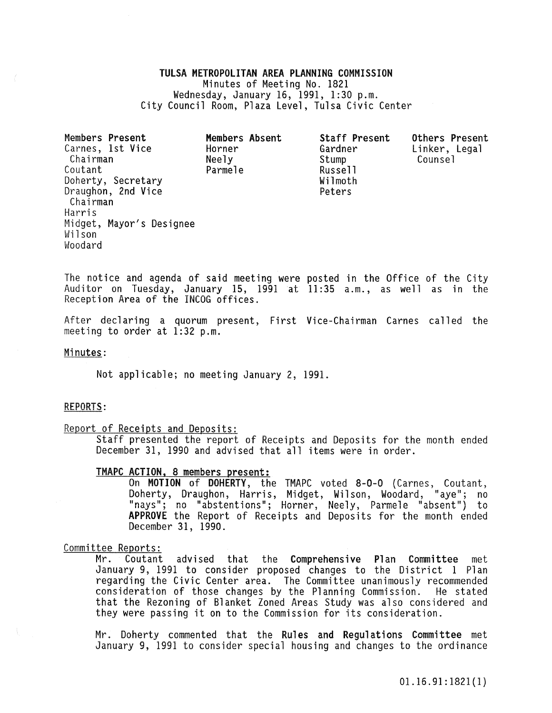## TULSA METROPOLITAN AREA PLANNING COMMISSION Minutes of Meeting No. 1821 Wednesday, January 16, 1991, 1:30 p.m. City Council Room, Plaza Level, Tulsa Civic Center

| Members Present                | Members Absent | Staff Present | Others Present |
|--------------------------------|----------------|---------------|----------------|
| Carnes, 1st Vice               | Horner         | Gardner       | Linker, Legal  |
| Chairman                       | Neely          | Stump         | Counsel        |
| Coutant                        | Parmele        | Russell       |                |
| Doherty, Secretary             |                | Wilmoth       |                |
| Draughon, 2nd Vice<br>Chairman |                | Peters        |                |
| Harris                         |                |               |                |
| Midget, Mayor's Designee       |                |               |                |
| Wilson                         |                |               |                |
| Woodard                        |                |               |                |

The notice and agenda of said meeting were posted in the Office of the City Auditor on Tuesday, January 15, 1991 at  $11:35$  a.m., as well as in the Reception Area of the INCOG offices.

After declaring a quorum present, First Vice-Chairman Carnes called the meeting to order at 1:32 p.m.

Minutes:

Not applicable; no meeting January 2, 1991.

### REPORTS:

Report of Receipts and Deposits:

Staff presented the report of Receipts and Deposits for the month ended December 31, 1990 and advised that all items were in order.

TMAPC ACTION. 8 members present:

On MOTION of DOHERTY; the TMAPC voted 8-0-0 (Carnes, Coutant, Doherty, Draughon, Harris, Midget, Wilson, Woodard, "aye"; no "nays"; no "abstentions"; Horner, Neely, Parmele "absent") to APPROVE the Report of Receipts and Deposits for the month ended December 31, 1990.

Committee Reports:<br>Mr. Coutant

advised that the Comprehensive Plan Committee met January 9,1991 to consider proposed changes to the District 1 Plan regarding the Civic Center area. The Committee unanimously recommended consideration of those changes by the Planning Commission. He stated that the Rezoning of Blanket Zoned Areas Study was also considered and they were passing it on to the Commission for its consideration.

Mr. Doherty commented that the Rules and Regulations Committee met January 9, 1991 to consider special housing and changes to the ordinance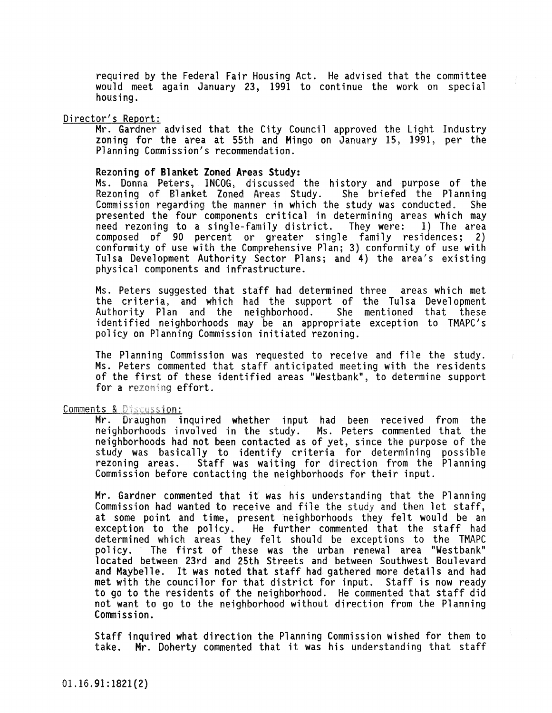required by the Federal Fair Housing Act. He advised that the committee would meet again January 23, 1991 to continue the work on special housing.

Director's Report:<br>Mr. Gardner advised that the City Council approved the Light Industry<br>zoning for the area at 55th and Mingo on January 15, 1991, per the Planning Commission's recommendation.

### Rezoning of BlanKet Zoned Areas Study:

Ms. Donna Peters, INCOG, discussed the history and purpose of the<br>Rezoning of Blanket Zoned Areas Study. She briefed the Planning Commission regarding the manner in which the study was conducted. She presented the four components critical in determining areas which may need rezoning to a single-family district. They were: 1) The area composed of 90 percent or greater single family residences; 2) conformity of use with the Comprehensive Plan; 3) conformity of use with Tulsa Development Authority Sector Plans; and 4) the area's existing physical components and infrastructure.

Ms. Peters suggested that staff had determined three areas which met the criteria, and which had the support of the Tulsa Development Authority Plan and the neighborhood. She mentioned that these identified neighborhoods may be an appropriate exception to TMAPC's policy on Planning Commission initiated rezoning.

The Planning Commission was requested to receive and file the study. Ms. Peters commented that staff anticipated meeting with the residents of the first of these identified areas "Westbank", to determine support for a rezoning effort.

# Comments & Discussion:<br>Mr. Draughon i

Draughon inquired whether input had been received from the<br>horhoods involved in the study. Ms. Peters commented that the neighborhoods involved in the study. neighborhoods had not been contacted as of yet, since the purpose of the study was basically to identify criteria for determining possible rezoning areas. Staff was waiting for direction from the Planning Commission before contacting the neighborhoods for their input.

Mr. Gardner commented that it was his understanding that the Planning Commission had wanted to receive and file the study and then let staff, at some point and time, present neighborhoods they felt would be an exception to the policy. He further commented that the staff had determined which areas they felt should be exceptions to the TMAPC The first of these was the urban renewal area "Westbank" located between 23rd and 25th Streets and between Southwest Boulevard and Maybelle. It was noted that staff had gathered more details and had met with the councilor for that district for input. Staff is now ready to go to the residents of the neighborhood. He commented that staff did not want to go to the neighborhood without direction from the Planning Commission.

Staff inquired what direction the Planning Commission wished for them to take. Mr. Doherty commented that it was his understanding that staff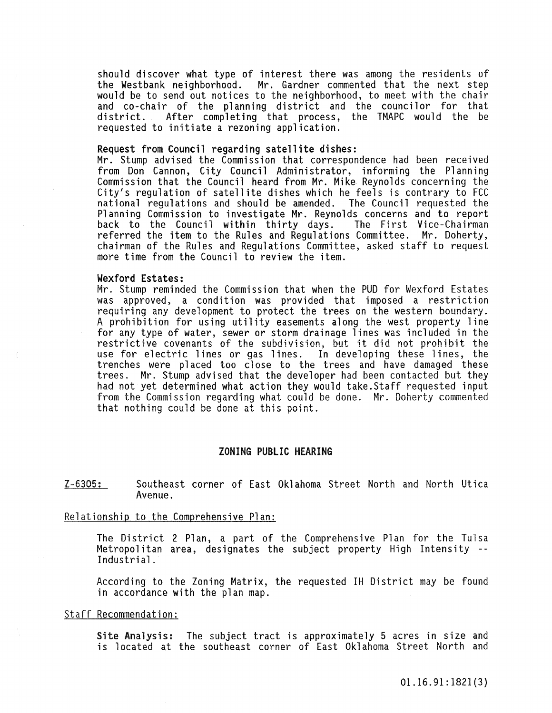should discover what type of interest there was among the residents of the Westbank neighborhood. Mr. Gardner commented that the next step would be to send out notices to the neighborhood, to meet with the chair and co-chair of the planning district and the councilor for that<br>district. After completing that process, the TMAPC would the be After completing that process, the TMAPC would the be requested to initiate a rezoning application.

### Request from Council regarding satellite dishes:

Mr. Stump advised the Commission that correspondence had been received from Don Cannon, City Council Administrator, informing the Planning Commission that the Council heard from Mr. Mike Reynolds concerning the City's regulation of satellite dishes which he feels is contrary to FCC national regulations and should be amended. The Council requested the<br>Planning Commission to investigate Mr. Reynolds concerns and to report back to the Council within thirty days. The First Vice-Chairman referred the item to the Rules and Regulations Committee. Mr. Doherty, chairman of the Rules and Regulations Committee, asked staff to request more time from the Council to review the item.

### Wexford Estates:

Mr. Stump reminded the Commission that when the PUD for Wexford Estates was approved, a condition was provided that imposed a restriction requiring any development to protect the trees on the western boundary. A prohibition for using utility easements along the west property line for any type of water, sewer or storm drainage lines was included in the restrictive covenants of the subdivision, but it did not prohibit the use for electric lines or gas lines. In developing these lines, the use for electric lines or gas lines. trenches were placed too close to the trees and have damaged these trees. Mr. Stump advised that the developer had been contacted but they had not yet determined what action they would take.Staff requested input from the Commission regarding what could be done. Mr. Doherty commented that nothing could be done at this point.

### ZONING PUBLIC HEARING

### Z-6305: Southeast corner of East Oklahoma Street North and North Utica Avenue.

### Relationship to the Comprehensive Plan:

The District 2 Plan, a part of the Comprehensive Plan for the Tulsa Metropol itan area, designates the subject property High Intensity -- Industrial.

According to the Zoning Matrix, the requested IH District may be found in accordance with the plan map.

### Staff Recommendation:

Site Analysis: The subject tract is approximately 5 acres in size and is located at the southeast corner of East Oklahoma Street North and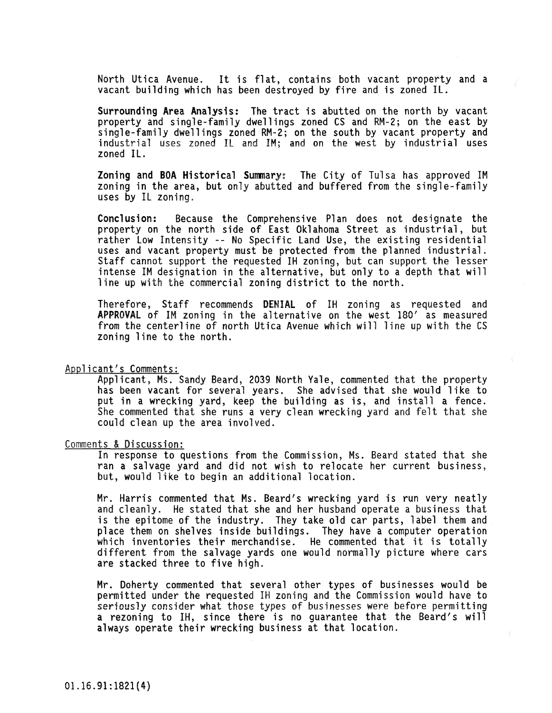North Utica Avenue. It is flat, contains both vacant property and a vacant building which has been destroyed by fire and is zoned IL.

Surrounding Area Analysis: The tract is abutted on the north by vacant property and single-family dwellings zoned CS and RM-2; on the east by single-family dwellings zoned RM-2; on the south by vacant property and industrial uses zoned IL and 1M; and on the west by industrial uses zoned IL.

Zoning and BOA Historical Summary: The City of Tulsa has approved IM zoning in the area, but only abutted and buffered from the single-family uses by IL zoning.

Conclusion: Because the Comprehensive Plan does not designate the property on the north side of East Oklahoma Street as industrial, but rather Low Intensity -- No Specific Land Use, the existing residential uses and vacant property must be protected from the planned industrial. Staff cannot support the requested IH zoning, but can support the lesser intense 1M designation in the alternative, but only to a depth that will line up with the commercial zoning district to the north.

Therefore, Staff recommends DENIAL of IH zoning as requested and APPROVAL of 1M zoning in the alternative on the west 180' as measured from the centerline of north Utica Avenue which will line up with the CS zoning line to the north.

Aoolicant's Comments:

Applicant, Ms. Sandy Beard, 2039 North Yale, commented that the property has been vacant for several years. She advised that she would like to put in a wrecking yard, keep the building as is, and install a fence. She commented that she runs a very clean wrecking yard and felt that she could clean up the area involved.

Comments & Discussion:

In response to questions from the Commission, Ms. Beard stated that she ran a salvage yard and did not wish to relocate her current business, but, would like to begin an additional iocation.

Mr. Harris commented that Ms. Beard's wrecking yard is run very neatly and cieaniy. He stated that she and her husband operate a business that is the epitome of the industry. They take old car parts, label them and place them on shelves inside buildings. They have a computer operation which inventories their merchandise. He commented that it is totally different from the salvage yards one would normally picture where cars are stacked three to five high.

Mr. Doherty commented that several other types of businesses would be permitted under the requested IH zoning and the Commission would have to seriously consider what those types of businesses were before permitting a rezoning to IH, since there is no guarantee that the Beard's will always operate their wrecking business at that location.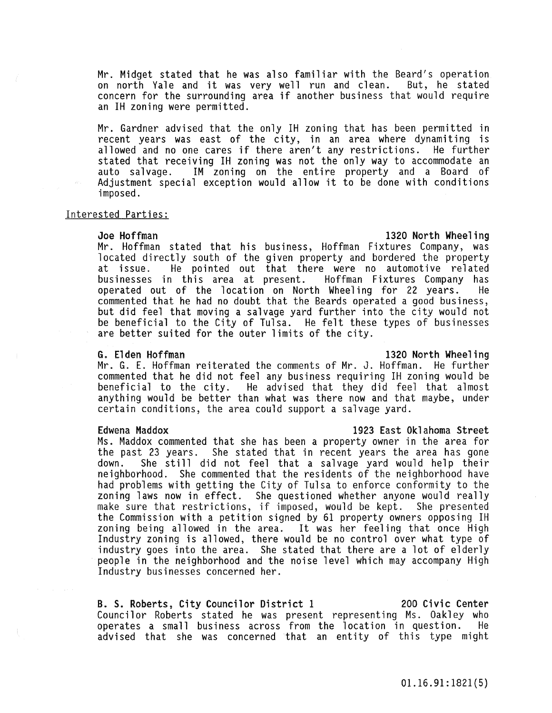Mr. Midget stated that he was also familiar with the Beard's operation on north Yale and it was very well run and clean. But, he stated concern for the surrounding area if another business that would require an IH zoning were permitted.

Mr. Gardner advised that the only IH zoning that has been permitted in recent years was east of the city, in an area where dynamiting is allowed and no one cares if there aren't any restrictions. He further stated that receiving IH zoning was not the only way to accommodate an auto salvage. 1M zoning on the entire property and a Board of Adjustment special exception would allow it to be done with conditions imposed.

### Interested Parties:

### Joe Hoffman 1320 North Wheeling

Mr. Hoffman stated that his business, Hoffman Fixtures Company, was located directly south of the given property and bordered the property at issue. He pointed out that there were no automotive related<br>businesses in this area at present. Hoffman Fixtures Company has businesses in this area at present. operated out of the location on North Wheeling for 22 years. He commented that he had no doubt that the Beards operated a good business, but did feel that moving a salvage yard further into the city would not be beneficial to the City of Tulsa. He felt these types of businesses are better suited for the outer limits of the city.

### G. Elden Hoffman 1320 North Wheeling

Mr. G. E. Hoffman reiterated the comments of Mr. J. Hoffman. He further commented that he did not feel any business requiring IH zoning would be be advised that they did feel that almost anything would be better than what was there now and that maybe, under certain conditions, the area could support a salvage yard.

### Edwena Maddox 1923 East Oklahoma Street

Ms. Maddox commented that she has been a property owner in the area for the past 23 years. She stated that in recent years the area has gone down. She still did not feel that a salvage yard would help their neighborhood. She commented that the residents of the neighborhood have had problems with getting the City of Tulsa to enforce conformity to the zoning laws now in effect. She questioned whether anyone would really make sure that restrictions, if imposed, would be kept. She presented the Commission with a petition signed by 61 property owners opposing IH zoning being allowed in the area. It was her feeling that once High Industry zoning is allowed, there would be no control over what type of industry goes into the area. She stated that there are a lot of elderly people in the neighborhood and the noise level which may accompany High Industry businesses concerned her.

B. S. Roberts, City Councilor District 1 200 Civic Center Councilor Roberts stated he was present representing Ms. Oakley who<br>operates a small business across from the location in question. He operates a small business across from the location in question. advised that she was concerned that an entity of this type might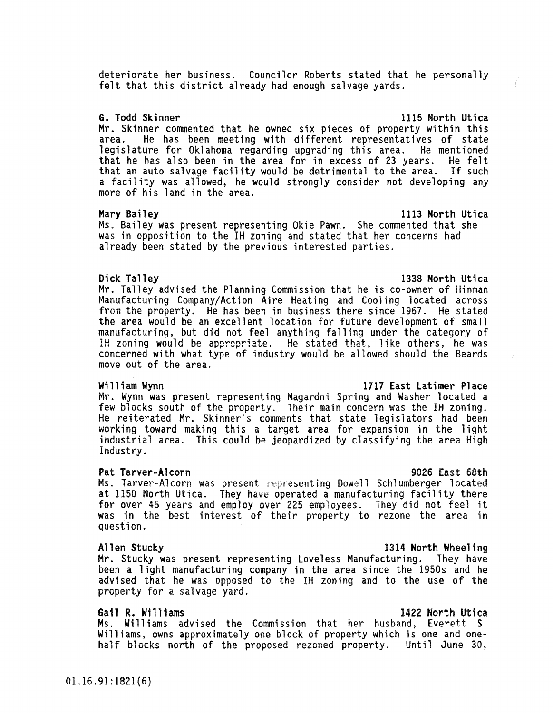deteriorate her business. Councilor Roberts stated that he personally felt that this district already had enough salvage yards.

G. Todd Skinner 1115 North Utica Mr. Skinner commented that he owned six pieces of property within this area. He has been meeting with different representatives of state<br>legislature for Oklahoma regarding upgrading this area. He mentioned legislature for Oklahoma regarding upgrading this area. He mentioned<br>that he has also been in the area for in excess of 23 vears. He felt that he has also been in the area for in excess of 23 years. that an auto salvage facility would be detrimental to the area. If such a facility was allowed, he would strongly consider not developing any more of his land in the area.

Mary Bailey 1113 North Utica

Ms. Bailey was present representing Okie Pawn. She commented that she was in opposition to the IH zoning and stated that her concerns had already been stated by the previous interested parties.

### Dick Talley 1338 North Utica

Mr. Talley advised the Planning Commission that he is co-owner of Hinman Manufacturing Company/Action Aire Heating and Cooling located across from the property. He has been in business there since 1967. He stated the area would be an excellent location for future development of small manufacturing, but did not feel anything falling under the category of IH zoning would be appropriate. He stated that, like others, he was concerned with what type of industry would be allowed should the Beards move out of the area.

### William Wynn 1717 East Latimer Place

Mr. Wynn was present representing Magardni Spring and Washer located a few blocks south of the property. Their main concern was the IH zoning. He reiterated Mr. Skinner's comments that state legislators had been working toward making this a target area for expansion in the light industrial area. This could be jeopardized by classifying the area High Industry.

### Pat Tarver-Alcorn 9026 East 68th

Ms. Tarver-Alcorn was present representing Dowell Schlumberger located at 1150 North Utica. They have operated a manufacturing facility there for over 45 years and employ over 225 employees. They did not feel it was in the best interest of their property to rezone the area in question.

### Allen Stucky 1314 North Wheeling

Mr. Stucky was present representing Loveless Manufacturing. They have been a light manufacturing company in the area since the 1950s and he advised that he was opposed to the IH zoning and to the use of the property for a salvage yard.

## Gail R. Williams 1422 North Utica

Ms. Williams advised the Commission that her husband, Everett S. Williams, owns approximately one block of property which is one and onehalf blocks north of the proposed rezoned property. Until June 30,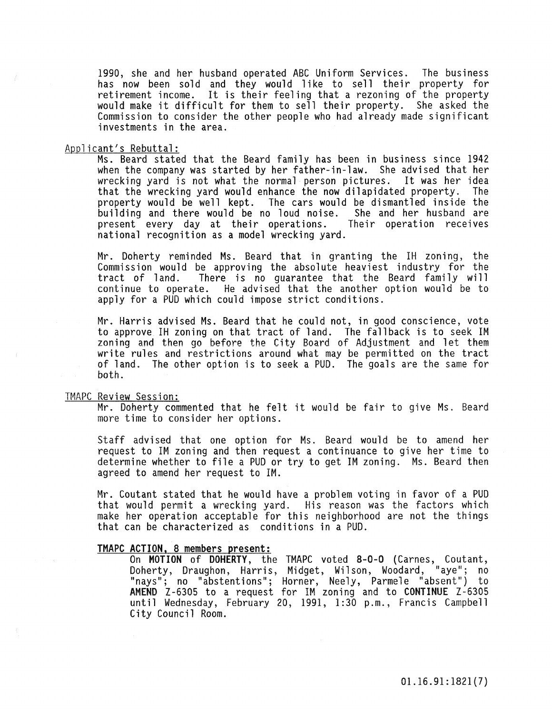1990, she and her husband operated ABC Uniform Services. The business has now been sold and they would like to sell their property for retirement income. It is their feeling that a rezoning of the property would make it difficult for them to sell their property. She asked the Commission to consider the other people who had already made significant investments in the area.

### Applicant's Rebuttal:

Ms. Beard stated that the Beard family has been in business since 1942 when the company was started by her father-in-law. She advised that her wrecking yard is not what the normal person pictures. It was her idea that the wrecking yard would enhance the now dilapidated property. The property would be well kept. The cars would be dismantled inside the building and there would be no loud noise. She and her husband are<br>present every day at their operations. Their operation receives present every day at their operations. national recognition as a model wrecking yard.

Mr. Doherty reminded Ms. Beard that in granting the IH zoning, the Commission would be approving the absolute heaviest industry for the tract of land. There is no guarantee that the Beard family will He advised that the another option would be to apply for a PUD which could impose strict conditions.

Mr. Harris advised Ms. Beard that he could not, in good conscience, vote to approve IH zoning on that tract of land. The fallback is to seek 1M zoning and then go before the City Board of Adjustment and let them write rules and restrictions around what may be permitted on the tract of land. The other option is to seek a PUD. The goals are the same for both.

### TMAPC Review Session:

Mr. Doherty commented that he felt it would be fair to give Ms. Beard more time to consider her options.

Staff advised that one option for Ms. Beard would be to amend her request to 1M zoning and then request a continuance to give her time to determine whether to file a PUD or try to get 1M zoning. Ms. Beard then agreed to amend her request to 1M.

Mr. Coutant stated that he would have a problem voting in favor of a PUD that would permit a wrecking yard. His reason was the factors which make her operation acceptable for this neighborhood are not the things that can be characterized as conditions in a PUD.

### TMAPC ACTION, 8 members present:

On MOTION of DOHERTY, the TMAPC voted 8-0-0 (Carnes, Coutant, Doherty, Draughon, Harris, Midget, Wilson, Woodard, "aye"; no "nays"; no "abstentions"; Horner, Neely, Parmele "absent") to AMEND Z-6305 to a request for 1M zoning and to CONTINUE Z-6305 until Wednesday, February 20, 1991, 1:30 p.m., Francis Campbell City Council Room.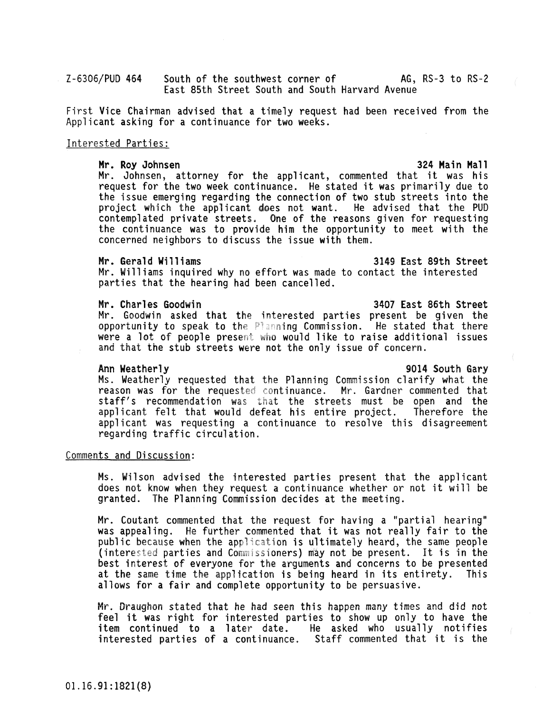Z-6306/PUD 464 South of the southwest corner of AG, RS-3 to RS-2 East 85th Street South and South Harvard Avenue

First Vice Chairman advised that a timely request had been received from the Applicant asking for a continuance for two weeks.

### Interested Parties:

Mr. Roy Johnsen 324 Main Mall Mr. Johnsen, attorney for the applicant, commented that it was his request for the two week continuance. He stated it was primarily due to the issue emerging regarding the connection of two stub streets into the<br>project which the applicant does not want. He advised that the PUD contemplated private streets. One of the reasons given for requesting<br>the continuance was to provide him the opportunity to meet with the concerned neighbors to discuss the issue with them.

Mr. Gerald Williams 3149 East 89th Street Mr. Williams inquired why no effort was made to contact the interested parties that the hearing had been cancelled.

### Mr. Charles Goodwin 3407 East 86th Street

Mr. Goodwin asked that the interested parties present be given the opportunity to speak to the Planning Commission. He stated that there were a lot of people present who would like to raise additional issues and that the stub streets were not the only issue of concern.

Ann Weatherly 9014 South Gary Ms. Weatherly requested that the Planning Commission clarify what the reason was for the requested continuance. Mr. Gardner commented that staff's recommendation was that the streets must be open and the<br>applicant felt that would defeat his entire project. Therefore the applicant felt that would defeat his entire project. applicant was requesting a continuance to resolve this disagreement regarding traffic circulation.

### Comments and Discussion:

Ms. Wilson advised the interested parties present that the applicant does not know when they request a continuance whether or not it will be granted. The Planning Commission decides at the meeting.

Mr. Coutant commented that the request for having a "partial hearing" was appealing. He further commented that it was not really fair to the public because when the application is ultimately heard, the same people (interested parties and Commissioners) may not be present. It is in the best interest of everyone for the arguments and concerns to be presented at the same time the application is being heard in its entirety. This allows for a fair and complete opportunity to be persuasive.

Mr. Draughon stated that he had *seen* this happen many times and did not feel it was right for interested parties to show up only to have the item continued to a later date. He asked who usually notifies interested parties of a continuance. Staff commented that it is the